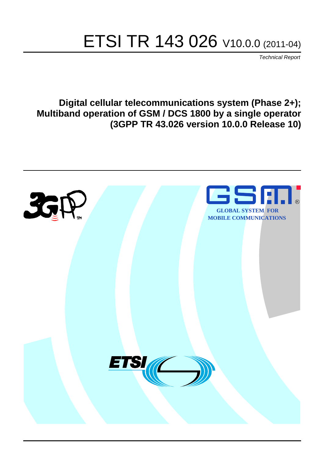# ETSI TR 143 026 V10.0.0 (2011-04)

*Technical Report*

**Digital cellular telecommunications system (Phase 2+); Multiband operation of GSM / DCS 1800 by a single operator (3GPP TR 43.026 version 10.0.0 Release 10)**

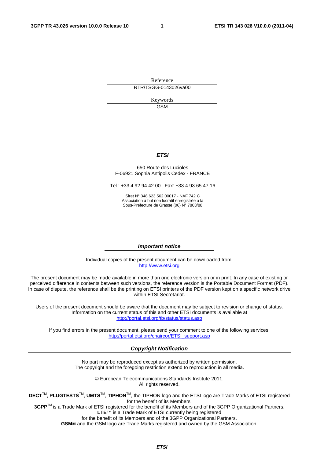Reference RTR/TSGG-0143026va00

> Keywords GSM

#### *ETSI*

#### 650 Route des Lucioles F-06921 Sophia Antipolis Cedex - FRANCE

Tel.: +33 4 92 94 42 00 Fax: +33 4 93 65 47 16

Siret N° 348 623 562 00017 - NAF 742 C Association à but non lucratif enregistrée à la Sous-Préfecture de Grasse (06) N° 7803/88

#### *Important notice*

Individual copies of the present document can be downloaded from: [http://www.etsi.org](http://www.etsi.org/)

The present document may be made available in more than one electronic version or in print. In any case of existing or perceived difference in contents between such versions, the reference version is the Portable Document Format (PDF). In case of dispute, the reference shall be the printing on ETSI printers of the PDF version kept on a specific network drive within ETSI Secretariat.

Users of the present document should be aware that the document may be subject to revision or change of status. Information on the current status of this and other ETSI documents is available at <http://portal.etsi.org/tb/status/status.asp>

If you find errors in the present document, please send your comment to one of the following services: [http://portal.etsi.org/chaircor/ETSI\\_support.asp](http://portal.etsi.org/chaircor/ETSI_support.asp)

#### *Copyright Notification*

No part may be reproduced except as authorized by written permission. The copyright and the foregoing restriction extend to reproduction in all media.

> © European Telecommunications Standards Institute 2011. All rights reserved.

**DECT**TM, **PLUGTESTS**TM, **UMTS**TM, **TIPHON**TM, the TIPHON logo and the ETSI logo are Trade Marks of ETSI registered for the benefit of its Members.

**3GPP**TM is a Trade Mark of ETSI registered for the benefit of its Members and of the 3GPP Organizational Partners. **LTE**™ is a Trade Mark of ETSI currently being registered

for the benefit of its Members and of the 3GPP Organizational Partners.

**GSM**® and the GSM logo are Trade Marks registered and owned by the GSM Association.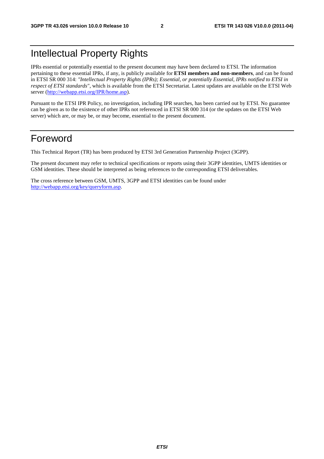# Intellectual Property Rights

IPRs essential or potentially essential to the present document may have been declared to ETSI. The information pertaining to these essential IPRs, if any, is publicly available for **ETSI members and non-members**, and can be found in ETSI SR 000 314: *"Intellectual Property Rights (IPRs); Essential, or potentially Essential, IPRs notified to ETSI in respect of ETSI standards"*, which is available from the ETSI Secretariat. Latest updates are available on the ETSI Web server [\(http://webapp.etsi.org/IPR/home.asp\)](http://webapp.etsi.org/IPR/home.asp).

Pursuant to the ETSI IPR Policy, no investigation, including IPR searches, has been carried out by ETSI. No guarantee can be given as to the existence of other IPRs not referenced in ETSI SR 000 314 (or the updates on the ETSI Web server) which are, or may be, or may become, essential to the present document.

# Foreword

This Technical Report (TR) has been produced by ETSI 3rd Generation Partnership Project (3GPP).

The present document may refer to technical specifications or reports using their 3GPP identities, UMTS identities or GSM identities. These should be interpreted as being references to the corresponding ETSI deliverables.

The cross reference between GSM, UMTS, 3GPP and ETSI identities can be found under [http://webapp.etsi.org/key/queryform.asp.](http://webapp.etsi.org/key/queryform.asp)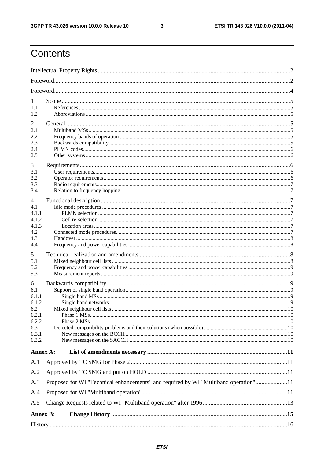$\mathbf{3}$ 

# Contents

| 1<br>1.1<br>1.2                                                              |                                                                                     |  |  |  |  |
|------------------------------------------------------------------------------|-------------------------------------------------------------------------------------|--|--|--|--|
| 2<br>2.1<br>2.2<br>2.3<br>2.4<br>2.5                                         |                                                                                     |  |  |  |  |
| 3<br>3.1<br>3.2<br>3.3<br>3.4                                                |                                                                                     |  |  |  |  |
| 4<br>4.1<br>4.1.1<br>4.1.2<br>4.1.3<br>4.2<br>4.3<br>4.4                     |                                                                                     |  |  |  |  |
| 5<br>5.1<br>5.2<br>5.3                                                       |                                                                                     |  |  |  |  |
| 6<br>6.1<br>6.1.1<br>6.1.2<br>6.2<br>6.2.1<br>6.2.2<br>6.3<br>6.3.1<br>6.3.2 | Mixed neighbour cell lists                                                          |  |  |  |  |
| Annex A:                                                                     |                                                                                     |  |  |  |  |
| A.1                                                                          |                                                                                     |  |  |  |  |
| A.2                                                                          |                                                                                     |  |  |  |  |
| A.3                                                                          | Proposed for WI "Technical enhancements" and required by WI "Multiband operation"11 |  |  |  |  |
| A.4                                                                          |                                                                                     |  |  |  |  |
| A.5                                                                          |                                                                                     |  |  |  |  |
| <b>Annex B:</b>                                                              |                                                                                     |  |  |  |  |
|                                                                              |                                                                                     |  |  |  |  |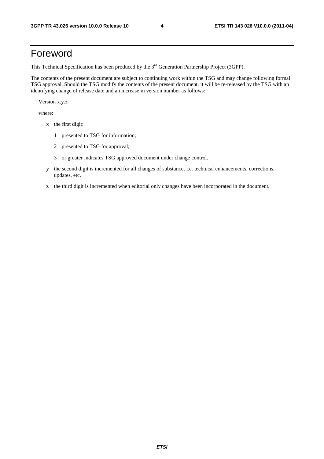# Foreword

This Technical Specification has been produced by the 3<sup>rd</sup> Generation Partnership Project (3GPP).

The contents of the present document are subject to continuing work within the TSG and may change following formal TSG approval. Should the TSG modify the contents of the present document, it will be re-released by the TSG with an identifying change of release date and an increase in version number as follows:

Version x.y.z

where:

- x the first digit:
	- 1 presented to TSG for information;
	- 2 presented to TSG for approval;
	- 3 or greater indicates TSG approved document under change control.
- y the second digit is incremented for all changes of substance, i.e. technical enhancements, corrections, updates, etc.
- z the third digit is incremented when editorial only changes have been incorporated in the document.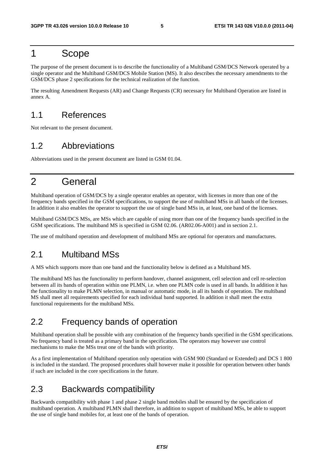# 1 Scope

The purpose of the present document is to describe the functionality of a Multiband GSM/DCS Network operated by a single operator and the Multiband GSM/DCS Mobile Station (MS). It also describes the necessary amendments to the GSM/DCS phase 2 specifications for the technical realization of the function.

The resulting Amendment Requests (AR) and Change Requests (CR) necessary for Multiband Operation are listed in annex A.

# 1.1 References

Not relevant to the present document.

# 1.2 Abbreviations

Abbreviations used in the present document are listed in GSM 01.04.

# 2 General

Multiband operation of GSM/DCS by a single operator enables an operator, with licenses in more than one of the frequency bands specified in the GSM specifications, to support the use of multiband MSs in all bands of the licenses. In addition it also enables the operator to support the use of single band MSs in, at least, one band of the licenses.

Multiband GSM/DCS MSs, are MSs which are capable of using more than one of the frequency bands specified in the GSM specifications. The multiband MS is specified in GSM 02.06. (AR02.06-A001) and in section 2.1.

The use of multiband operation and development of multiband MSs are optional for operators and manufactures.

### 2.1 Multiband MSs

A MS which supports more than one band and the functionality below is defined as a Multiband MS.

The multiband MS has the functionality to perform handover, channel assignment, cell selection and cell re-selection between all its bands of operation within one PLMN, i.e. when one PLMN code is used in all bands. In addition it has the functionality to make PLMN selection, in manual or automatic mode, in all its bands of operation. The multiband MS shall meet all requirements specified for each individual band supported. In addition it shall meet the extra functional requirements for the multiband MSs.

# 2.2 Frequency bands of operation

Multiband operation shall be possible with any combination of the frequency bands specified in the GSM specifications. No frequency band is treated as a primary band in the specification. The operators may however use control mechanisms to make the MSs treat one of the bands with priority.

As a first implementation of Multiband operation only operation with GSM 900 (Standard or Extended) and DCS 1 800 is included in the standard. The proposed procedures shall however make it possible for operation between other bands if such are included in the core specifications in the future.

# 2.3 Backwards compatibility

Backwards compatibility with phase 1 and phase 2 single band mobiles shall be ensured by the specification of multiband operation. A multiband PLMN shall therefore, in addition to support of multiband MSs, be able to support the use of single band mobiles for, at least one of the bands of operation.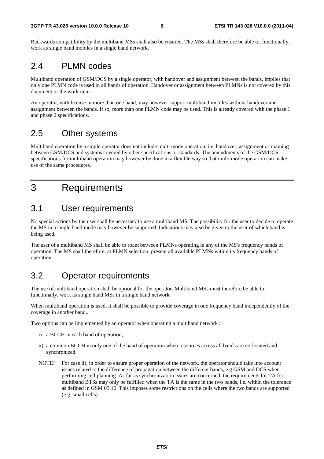Backwards compatibility by the multiband MSs shall also be ensured. The MSs shall therefore be able to, functionally, work as single band mobiles in a single band network.

### 2.4 PLMN codes

Multiband operation of GSM/DCS by a single operator, with handover and assignment between the bands, implies that only one PLMN code is used in all bands of operation. Handover or assignment between PLMNs is not covered by this document or the work item.

An operator, with license in more than one band, may however support multiband mobiles without handover and assignment between the bands. If so, more than one PLMN code may be used. This is already covered with the phase 1 and phase 2 specifications.

# 2.5 Other systems

Multiband operation by a single operator does not include multi mode operation, i.e. handover, assignment or roaming between GSM/DCS and systems covered by other specifications or standards. The amendments of the GSM/DCS specifications for multiband operation may however be done in a flexible way so that multi mode operation can make use of the same procedures.

# 3 Requirements

# 3.1 User requirements

No special actions by the user shall be necessary to use a multiband MS. The possibility for the user to decide to operate the MS in a single band mode may however be supported. Indications may also be given to the user of which band is being used.

The user of a multiband MS shall be able to roam between PLMNs operating in any of the MS's frequency bands of operation. The MS shall therefore, at PLMN selection, present all available PLMNs within its frequency bands of operation.

# 3.2 Operator requirements

The use of multiband operation shall be optional for the operator. Multiband MSs must therefore be able to, functionally, work as single band MSs in a single band network.

When multiband operation is used, it shall be possible to provide coverage in one frequency band independently of the coverage in another band..

Two options can be implemented by an operator when operating a multiband network :

- i) a BCCH in each band of operation;
- ii) a common BCCH in only one of the band of operation when resources across all bands are co-located and synchronized.
- NOTE: For case ii), in order to ensure proper operation of the network, the operator should take into account issues related to the difference of propagation between the different bands, e.g GSM and DCS when performing cell planning. As far as synchronization issues are concerned, the requirements for TA for multiband BTSs may only be fulfilled when the TA is the same in the two bands, i.e. within the tolerance as defined in GSM 05.10. This imposes some restrictions on the cells where the two bands are supported (e.g. small cells).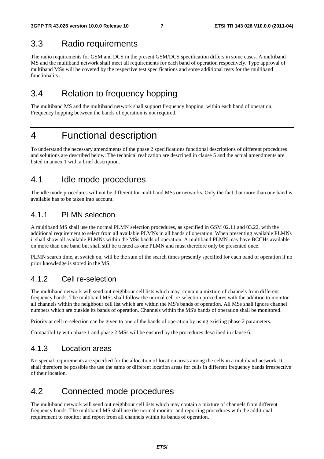### 3.3 Radio requirements

The radio requirements for GSM and DCS in the present GSM/DCS specification differs in some cases. A multiband MS and the multiband network shall meet all requirements for each band of operation respectively. Type approval of multiband MSs will be covered by the respective test specifications and some additional tests for the multiband functionality.

# 3.4 Relation to frequency hopping

The multiband MS and the multiband network shall support frequency hopping within each band of operation. Frequency hopping between the bands of operation is not required.

# 4 Functional description

To understand the necessary amendments of the phase 2 specifications functional descriptions of different procedures and solutions are described below. The technical realization are described in clause 5 and the actual amendments are listed in annex 1 with a brief description.

### 4.1 Idle mode procedures

The idle mode procedures will not be different for multiband MSs or networks. Only the fact that more than one band is available has to be taken into account.

### 4.1.1 PLMN selection

A multiband MS shall use the normal PLMN selection procedures, as specified in GSM 02.11 and 03.22, with the additional requirement to select from all available PLMNs in all bands of operation. When presenting available PLMNs it shall show all available PLMNs within the MSs bands of operation. A multiband PLMN may have BCCHs available on more than one band but shall still be treated as one PLMN and must therefore only be presented once.

PLMN search time, at switch on, will be the sum of the search times presently specified for each band of operation if no prior knowledge is stored in the MS.

#### 4.1.2 Cell re-selection

The multiband network will send out neighbour cell lists which may contain a mixture of channels from different frequency bands. The multiband MSs shall follow the normal cell-re-selection procedures with the addition to monitor all channels within the neighbour cell list which are within the MS's bands of operation. All MSs shall ignore channel numbers which are outside its bands of operation. Channels within the MS's bands of operation shall be monitored.

Priority at cell re-selection can be given to one of the bands of operation by using existing phase 2 parameters.

Compatibility with phase 1 and phase 2 MSs will be ensured by the procedures described in clause 6.

#### 4.1.3 Location areas

No special requirements are specified for the allocation of location areas among the cells in a multiband network. It shall therefore be possible the use the same or different location areas for cells in different frequency bands irrespective of their location.

# 4.2 Connected mode procedures

The multiband network will send out neighbour cell lists which may contain a mixture of channels from different frequency bands. The multiband MS shall use the normal monitor and reporting procedures with the additional requirement to monitor and report from all channels within its bands of operation.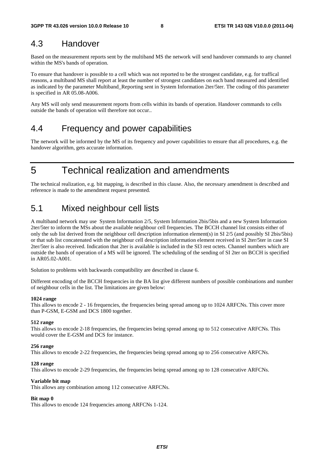# 4.3 Handover

Based on the measurement reports sent by the multiband MS the network will send handover commands to any channel within the MS's bands of operation.

To ensure that handover is possible to a cell which was not reported to be the strongest candidate, e.g. for traffical reasons, a multiband MS shall report at least the number of strongest candidates on each band measured and identified as indicated by the parameter Multiband\_Reporting sent in System Information 2ter/5ter. The coding of this parameter is specified in AR 05.08-A006.

Any MS will only send measurement reports from cells within its bands of operation. Handover commands to cells outside the bands of operation will therefore not occur..

# 4.4 Frequency and power capabilities

The network will be informed by the MS of its frequency and power capabilities to ensure that all procedures, e.g. the handover algorithm, gets accurate information.

5 Technical realization and amendments

The technical realization, e.g. bit mapping, is described in this clause. Also, the necessary amendment is described and reference is made to the amendment request presented.

# 5.1 Mixed neighbour cell lists

A multiband network may use System Information 2/5, System Information 2bis/5bis and a new System Information 2ter/5ter to inform the MSs about the available neighbour cell frequencies. The BCCH channel list consists either of only the sub list derived from the neighbour cell description information element(s) in SI 2/5 (and possibly SI 2bis/5bis) or that sub list concatenated with the neighbour cell description information element received in SI 2ter/5ter in case SI 2ter/5ter is also received. Indication that 2ter is available is included in the SI3 rest octets. Channel numbers which are outside the bands of operation of a MS will be ignored. The scheduling of the sending of SI 2ter on BCCH is specified in AR05.02-A001.

Solution to problems with backwards compatibility are described in clause 6.

Different encoding of the BCCH frequencies in the BA list give different numbers of possible combinations and number of neighbour cells in the list. The limitations are given below:

#### **1024 range**

This allows to encode 2 - 16 frequencies, the frequencies being spread among up to 1024 ARFCNs. This cover more than P-GSM, E-GSM and DCS 1800 together.

#### **512 range**

This allows to encode 2-18 frequencies, the frequencies being spread among up to 512 consecutive ARFCNs. This would cover the E-GSM and DCS for instance.

#### **256 range**

This allows to encode 2-22 frequencies, the frequencies being spread among up to 256 consecutive ARFCNs.

#### **128 range**

This allows to encode 2-29 frequencies, the frequencies being spread among up to 128 consecutive ARFCNs.

#### **Variable bit map**

This allows any combination among 112 consecutive ARFCNs.

#### **Bit map 0**

This allows to encode 124 frequencies among ARFCNs 1-124.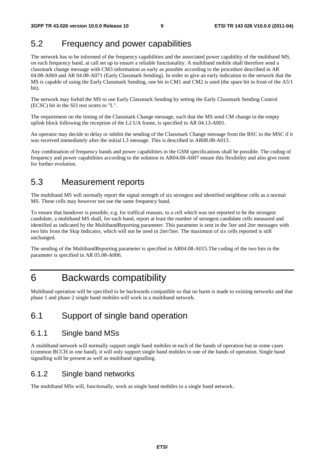# 5.2 Frequency and power capabilities

The network has to be informed of the frequency capabilities and the associated power capability of the multiband MS, on each frequency band, at call set up to ensure a reliable functionality. A multiband mobile shall therefore send a classmark change message with CM3 information as early as possible according to the procedure described in AR 04.08-A069 and AR 04.08-A071 (Early Classmark Sending)*.* In order to give an early indication to the network that the MS is capable of using the Early Classmark Sending, one bit in CM1 and CM2 is used (the spare bit in front of the A5/1 bit).

The network may forbid the MS to use Early Classmark Sending by setting the Early Classmark Sending Control (ECSC) bit in the SI3 rest octets to "L".

The requirement on the timing of the Classmark Change message, such that the MS send CM change in the empty uplink block following the reception of the L2 UA frame, is specified in AR 04.13-A001.

An operator may decide to delay or inhibit the sending of the Classmark Change message from the BSC to the MSC if it was received immediately after the initial L3 message. This is described in AR08.08-A013.

Any combination of frequency bands and power capabilities in the GSM specifications shall be possible. The coding of frequency and power capabilities according to the solution in AR04.08-A007 ensure this flexibility and also give room for further evolution.

### 5.3 Measurement reports

The multiband MS will normally report the signal strength of six strongest and identified neighbour cells as a normal MS. These cells may however not use the same frequency band.

To ensure that handover is possible, e.g. for traffical reasons, to a cell which was not reported to be the strongest candidate, a multiband MS shall, for each band, report at least the number of strongest candidate cells measured and identified as indicated by the MultibandReporting parameter. This parameter is sent in the 5ter and 2ter messages with two bits from the Skip Indicator, which will not be used in 2ter/5ter. The maximum of six cells reported is still unchanged.

The sending of the MultibandReporting parameter is specified in AR04.08-A015.The coding of the two bits in the parameter is specified in AR 05.08-A006.

# 6 Backwards compatibility

Multiband operation will be specified to be backwards compatible so that no harm is made to existing networks and that phase 1 and phase 2 single band mobiles will work in a multiband network.

# 6.1 Support of single band operation

### 6.1.1 Single band MSs

A multiband network will normally support single band mobiles in each of the bands of operation but in some cases (common BCCH in one band), it will only support single band mobiles in one of the bands of operation. Single band signalling will be present as well as multiband signalling.

### 6.1.2 Single band networks

The multiband MSs will, functionally, work as single band mobiles in a single band network.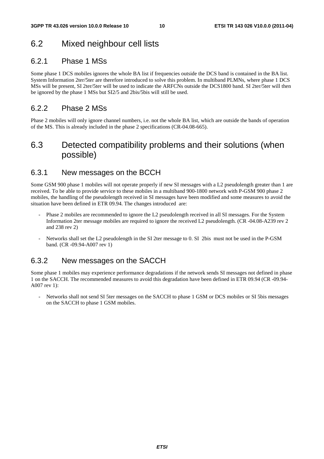# 6.2 Mixed neighbour cell lists

### 6.2.1 Phase 1 MSs

Some phase 1 DCS mobiles ignores the whole BA list if frequencies outside the DCS band is contained in the BA list. System Information 2ter/5ter are therefore introduced to solve this problem. In multiband PLMNs, where phase 1 DCS MSs will be present, SI 2ter/5ter will be used to indicate the ARFCNs outside the DCS1800 band. SI 2ter/5ter will then be ignored by the phase 1 MSs but SI2/5 and 2bis/5bis will still be used.

### 6.2.2 Phase 2 MSs

Phase 2 mobiles will only ignore channel numbers, i.e. not the whole BA list, which are outside the bands of operation of the MS. This is already included in the phase 2 specifications (CR-04.08-665).

# 6.3 Detected compatibility problems and their solutions (when possible)

### 6.3.1 New messages on the BCCH

Some GSM 900 phase 1 mobiles will not operate properly if new SI messages with a L2 pseudolength greater than 1 are received. To be able to provide service to these mobiles in a multiband 900-1800 network with P-GSM 900 phase 2 mobiles, the handling of the pseudolength received in SI messages have been modified and some measures to avoid the situation have been defined in ETR 09.94. The changes introduced are:

- Phase 2 mobiles are recommended to ignore the L2 pseudolength received in all SI messages. For the System Information 2ter message mobiles are required to ignore the received L2 pseudolength. (CR -04.08-A239 rev 2 and 238 rev 2)
- Networks shall set the L2 pseudolength in the SI 2ter message to 0. SI 2bis must not be used in the P-GSM band. (CR -09.94-A007 rev 1)

### 6.3.2 New messages on the SACCH

Some phase 1 mobiles may experience performance degradations if the network sends SI messages not defined in phase 1 on the SACCH. The recommended measures to avoid this degradation have been defined in ETR 09.94 (CR -09.94- A007 rev 1):

- Networks shall not send SI 5ter messages on the SACCH to phase 1 GSM or DCS mobiles or SI 5bis messages on the SACCH to phase 1 GSM mobiles.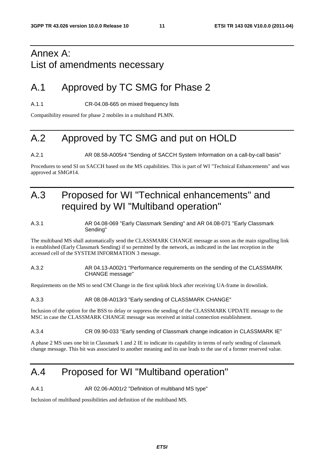# Annex A: List of amendments necessary

# A.1 Approved by TC SMG for Phase 2

A.1.1 CR-04.08-665 on mixed frequency lists

Compatibility ensured for phase 2 mobiles in a multiband PLMN.

# A.2 Approved by TC SMG and put on HOLD

A.2.1 AR 08.58-A005r4 "Sending of SACCH System Information on a call-by-call basis"

Procedures to send SI on SACCH based on the MS capabilities. This is part of WI "Technical Enhancements" and was approved at SMG#14.

# A.3 Proposed for WI "Technical enhancements" and required by WI "Multiband operation"

#### A.3.1 AR 04.08-069 "Early Classmark Sending" and AR 04.08-071 "Early Classmark Sending"

The multiband MS shall automatically send the CLASSMARK CHANGE message as soon as the main signalling link is established (Early Classmark Sending) if so permitted by the network, as indicated in the last reception in the accessed cell of the SYSTEM INFORMATION 3 message.

#### A.3.2 AR 04.13-A002r1 "Performance requirements on the sending of the CLASSMARK CHANGE message"

Requirements on the MS to send CM Change in the first uplink block after receiving UA-frame in downlink.

#### A.3.3 AR 08.08-A013r3 "Early sending of CLASSMARK CHANGE"

Inclusion of the option for the BSS to delay or suppress the sending of the CLASSMARK UPDATE message to the MSC in case the CLASSMARK CHANGE message was received at initial connection establishment.

#### A.3.4 CR 09.90-033 "Early sending of Classmark change indication in CLASSMARK IE"

A phase 2 MS uses one bit in Classmark 1 and 2 IE to indicate its capability in terms of early sending of classmark change message. This bit was associated to another meaning and its use leads to the use of a former reserved value.

# A.4 Proposed for WI "Multiband operation"

A.4.1 AR 02.06-A001r2 "Definition of multiband MS type"

Inclusion of multiband possibilities and definition of the multiband MS.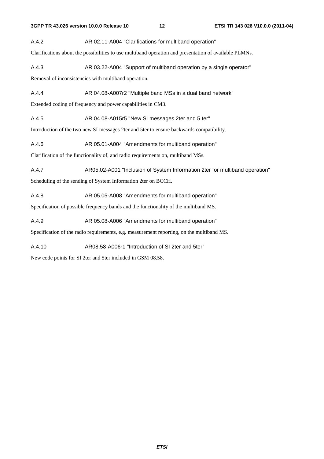#### A.4.2 AR 02.11-A004 "Clarifications for multiband operation"

Clarifications about the possibilities to use multiband operation and presentation of available PLMNs.

A.4.3 AR 03.22-A004 "Support of multiband operation by a single operator"

Removal of inconsistencies with multiband operation.

A.4.4 **AR 04.08-A007r2** "Multiple band MSs in a dual band network"

Extended coding of frequency and power capabilities in CM3.

A.4.5 AR 04.08-A015r5 "New SI messages 2ter and 5 ter"

Introduction of the two new SI messages 2ter and 5ter to ensure backwards compatibility.

A.4.6 AR 05.01-A004 "Amendments for multiband operation"

Clarification of the functionality of, and radio requirements on, multiband MSs.

A.4.7 AR05.02-A001 "Inclusion of System Information 2ter for multiband operation"

Scheduling of the sending of System Information 2ter on BCCH.

A.4.8 AR 05.05-A008 "Amendments for multiband operation"

Specification of possible frequency bands and the functionality of the multiband MS.

A.4.9 AR 05.08-A006 "Amendments for multiband operation"

Specification of the radio requirements, e.g. measurement reporting, on the multiband MS.

A.4.10 AR08.58-A006r1 "Introduction of SI 2ter and 5ter"

New code points for SI 2ter and 5ter included in GSM 08.58.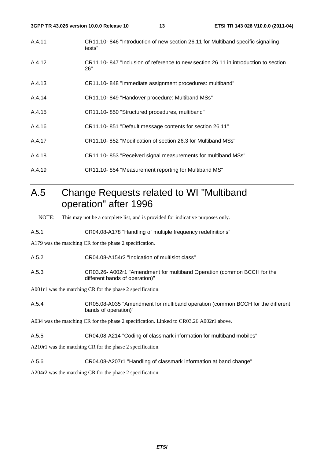- A.4.11 CR11.10- 846 "Introduction of new section 26.11 for Multiband specific signalling tests"
- A.4.12 CR11.10- 847 "Inclusion of reference to new section 26.11 in introduction to section 26"
- A.4.13 CR11.10- 848 "Immediate assignment procedures: multiband"
- A.4.14 CR11.10- 849 "Handover procedure: Multiband MSs"
- A.4.15 CR11.10- 850 "Structured procedures, multiband"
- A.4.16 CR11.10- 851 "Default message contents for section 26.11"
- A.4.17 CR11.10- 852 "Modification of section 26.3 for Multiband MSs"
- A.4.18 CR11.10- 853 "Received signal measurements for multiband MSs"
- A.4.19 CR11.10- 854 "Measurement reporting for Multiband MS"

# A.5 Change Requests related to WI "Multiband operation" after 1996

NOTE: This may not be a complete list, and is provided for indicative purposes only.

A.5.1 CR04.08-A178 "Handling of multiple frequency redefinitions"

A179 was the matching CR for the phase 2 specification.

- A.5.2 CR04.08-A154r2 "Indication of multislot class"
- A.5.3 CR03.26- A002r1 "Amendment for multiband Operation (common BCCH for the different bands of operation)"

A001r1 was the matching CR for the phase 2 specification.

A.5.4 CR05.08-A035 "Amendment for multiband operation (common BCCH for the different bands of operation)'

A034 was the matching CR for the phase 2 specification. Linked to CR03.26 A002r1 above.

A.5.5 CR04.08-A214 "Coding of classmark information for multiband mobiles"

A210r1 was the matching CR for the phase 2 specification.

A.5.6 CR04.08-A207r1 "Handling of classmark information at band change"

A204r2 was the matching CR for the phase 2 specification.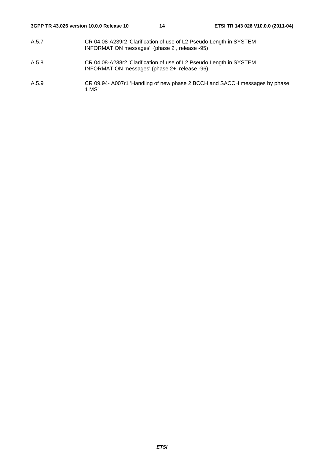- A.5.7 CR 04.08-A239r2 'Clarification of use of L2 Pseudo Length in SYSTEM INFORMATION messages' (phase 2 , release -95)
- A.5.8 CR 04.08-A238r2 'Clarification of use of L2 Pseudo Length in SYSTEM INFORMATION messages' (phase 2+, release -96)
- A.5.9 CR 09.94- A007r1 'Handling of new phase 2 BCCH and SACCH messages by phase 1 MS'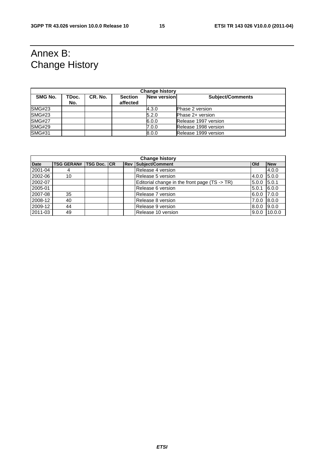# Annex B: Change History

| <b>Change history</b> |              |         |                            |                    |                         |  |
|-----------------------|--------------|---------|----------------------------|--------------------|-------------------------|--|
| SMG No.               | TDoc.<br>No. | CR. No. | <b>Section</b><br>affected | <b>New version</b> | <b>Subject/Comments</b> |  |
| SMG#23                |              |         |                            | 4.3.0              | Phase 2 version         |  |
| SMG#23                |              |         |                            | 5.2.0              | Phase 2+ version        |  |
| <b>SMG#27</b>         |              |         |                            | 6.0.0              | Release 1997 version    |  |
| <b>SMG#29</b>         |              |         |                            | 7.0.0              | Release 1998 version    |  |
| <b>SMG#31</b>         |              |         |                            | 8.0.0              | Release 1999 version    |  |

| <b>Change history</b> |                   |                    |  |     |                                               |            |            |
|-----------------------|-------------------|--------------------|--|-----|-----------------------------------------------|------------|------------|
| <b>Date</b>           | <b>TSG GERAN#</b> | <b>TSG Doc. CR</b> |  | Rev | Subject/Comment                               | <b>Old</b> | <b>New</b> |
| 2001-04               | 4                 |                    |  |     | Release 4 version                             |            | 4.0.0      |
| 2002-06               | 10                |                    |  |     | Release 5 version                             | 4.0.0      | 5.0.0      |
| 2002-07               |                   |                    |  |     | Editorial change in the front page (TS -> TR) | 5.0.0      | 15.0.1     |
| 2005-01               |                   |                    |  |     | Release 6 version                             | 5.0.1      | 6.0.0      |
| 2007-08               | 35                |                    |  |     | Release 7 version                             | 6.0.0      | 17.0.0     |
| 2008-12               | 40                |                    |  |     | Release 8 version                             | 7.0.0      | 18.0.0     |
| 2009-12               | 44                |                    |  |     | Release 9 version                             | 8.0.0      | 9.0.0      |
| 2011-03               | 49                |                    |  |     | Release 10 version                            | 9.0.0      | 10.0.0     |